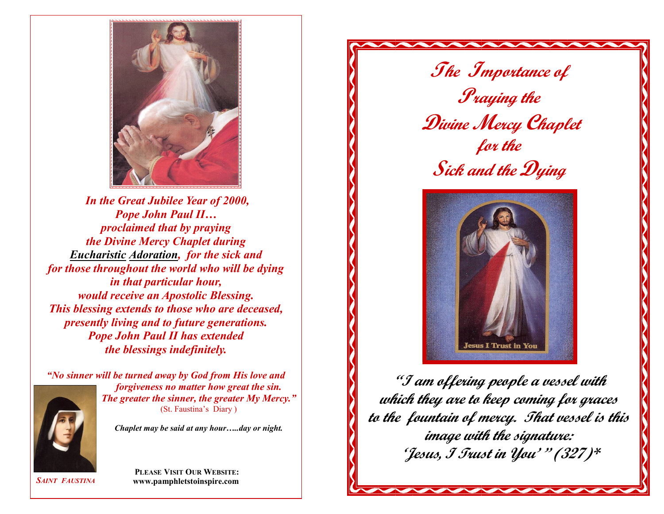

*In the Great Jubilee Year of 2000, Pope John Paul II… proclaimed that by praying the Divine Mercy Chaplet during Eucharistic Adoration, for the sick and for those throughout the world who will be dying in that particular hour, would receive an Apostolic Blessing. This blessing extends to those who are deceased, presently living and to future generations. Pope John Paul II has extended the blessings indefinitely.*



*"No sinner will be turned away by God from His love and forgiveness no matter how great the sin. The greater the sinner, the greater My Mercy."* (St. Faustina's Diary )

*Chaplet may be said at any hour…..day or night.*



 **PLEASE VISIT OUR WEBSITE: www.pamphletstoinspire.com**

**The Importance of Praying the Divine Mercy Chaplet for the Sick and the Dying**



**"I am offering people a vessel with which they are to keep coming for graces to the fountain of mercy. That vessel is this image with the signature: 'Jesus, I Trust in You' '' (327)\***